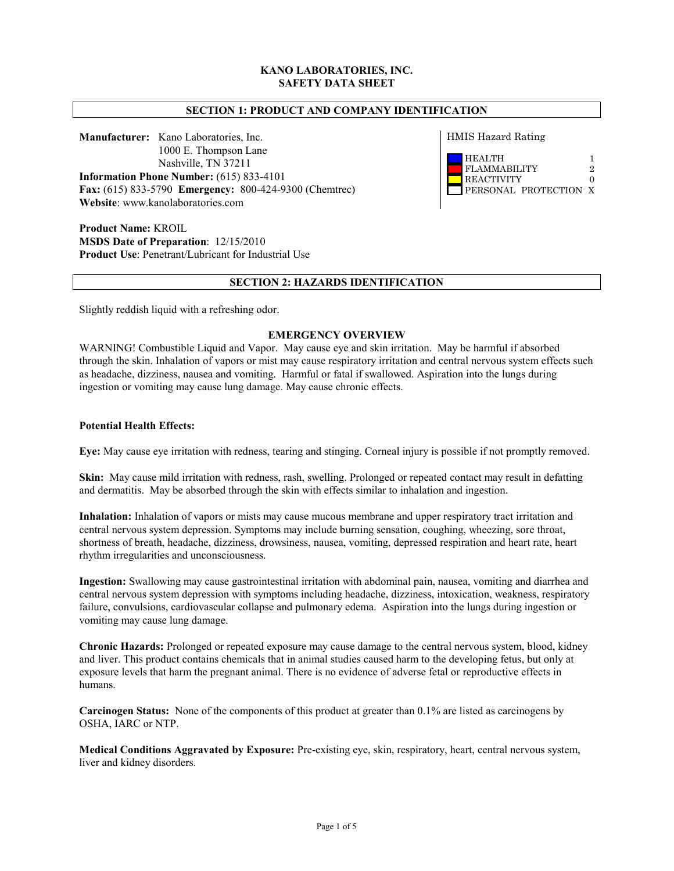## **KANO LABORATORIES, INC. SAFETY DATA SHEET**

## **SECTION 1: PRODUCT AND COMPANY IDENTIFICATION**

**Manufacturer:** Kano Laboratories, Inc. 1000 E. Thompson Lane Nashville, TN 37211 **Information Phone Number:** (615) 833-4101 **Fax:** (615) 833-5790 **Emergency:** 800-424-9300 (Chemtrec) **Website**: www.kanolaboratories.com

**Product Name:** KROIL **MSDS Date of Preparation**: 12/15/2010 **Product Use**: Penetrant/Lubricant for Industrial Use HMIS Hazard Rating



#### **SECTION 2: HAZARDS IDENTIFICATION**

Slightly reddish liquid with a refreshing odor.

#### **EMERGENCY OVERVIEW**

WARNING! Combustible Liquid and Vapor. May cause eye and skin irritation. May be harmful if absorbed through the skin. Inhalation of vapors or mist may cause respiratory irritation and central nervous system effects such as headache, dizziness, nausea and vomiting. Harmful or fatal if swallowed. Aspiration into the lungs during ingestion or vomiting may cause lung damage. May cause chronic effects.

#### **Potential Health Effects:**

**Eye:** May cause eye irritation with redness, tearing and stinging. Corneal injury is possible if not promptly removed.

**Skin:** May cause mild irritation with redness, rash, swelling. Prolonged or repeated contact may result in defatting and dermatitis. May be absorbed through the skin with effects similar to inhalation and ingestion.

**Inhalation:** Inhalation of vapors or mists may cause mucous membrane and upper respiratory tract irritation and central nervous system depression. Symptoms may include burning sensation, coughing, wheezing, sore throat, shortness of breath, headache, dizziness, drowsiness, nausea, vomiting, depressed respiration and heart rate, heart rhythm irregularities and unconsciousness.

**Ingestion:** Swallowing may cause gastrointestinal irritation with abdominal pain, nausea, vomiting and diarrhea and central nervous system depression with symptoms including headache, dizziness, intoxication, weakness, respiratory failure, convulsions, cardiovascular collapse and pulmonary edema. Aspiration into the lungs during ingestion or vomiting may cause lung damage.

**Chronic Hazards:** Prolonged or repeated exposure may cause damage to the central nervous system, blood, kidney and liver. This product contains chemicals that in animal studies caused harm to the developing fetus, but only at exposure levels that harm the pregnant animal. There is no evidence of adverse fetal or reproductive effects in humans.

**Carcinogen Status:** None of the components of this product at greater than 0.1% are listed as carcinogens by OSHA, IARC or NTP.

**Medical Conditions Aggravated by Exposure:** Pre-existing eye, skin, respiratory, heart, central nervous system, liver and kidney disorders.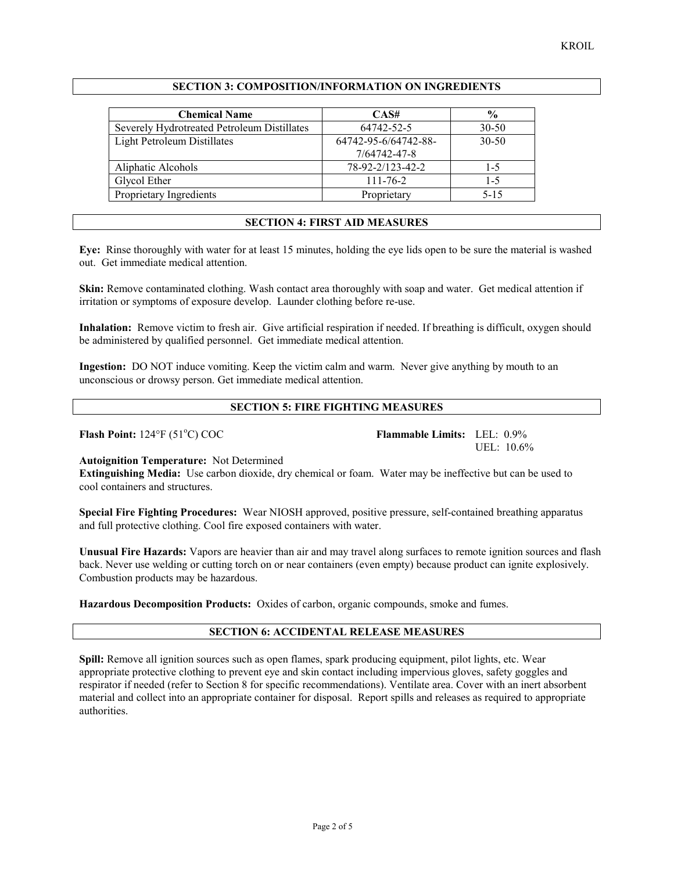## **SECTION 3: COMPOSITION/INFORMATION ON INGREDIENTS**

| <b>Chemical Name</b>                        | CAS#                 | $\frac{6}{9}$ |
|---------------------------------------------|----------------------|---------------|
| Severely Hydrotreated Petroleum Distillates | 64742-52-5           | $30 - 50$     |
| Light Petroleum Distillates                 | 64742-95-6/64742-88- | $30 - 50$     |
|                                             | 7/64742-47-8         |               |
| Aliphatic Alcohols                          | 78-92-2/123-42-2     | $1 - 5$       |
| Glycol Ether                                | $111 - 76 - 2$       | $1 - 5$       |
| Proprietary Ingredients                     | Proprietary          | $5 - 15$      |

#### **SECTION 4: FIRST AID MEASURES**

**Eye:** Rinse thoroughly with water for at least 15 minutes, holding the eye lids open to be sure the material is washed out. Get immediate medical attention.

**Skin:** Remove contaminated clothing. Wash contact area thoroughly with soap and water. Get medical attention if irritation or symptoms of exposure develop. Launder clothing before re-use.

**Inhalation:** Remove victim to fresh air. Give artificial respiration if needed. If breathing is difficult, oxygen should be administered by qualified personnel. Get immediate medical attention.

**Ingestion:** DO NOT induce vomiting. Keep the victim calm and warm. Never give anything by mouth to an unconscious or drowsy person. Get immediate medical attention.

## **SECTION 5: FIRE FIGHTING MEASURES**

**Flash Point:** 124°F (51°C) COC

Flammable Limits: LEL: 0.9% UEL: 10.6%

#### **Autoignition Temperature:** Not Determined

**Extinguishing Media:** Use carbon dioxide, dry chemical or foam. Water may be ineffective but can be used to cool containers and structures.

**Special Fire Fighting Procedures:** Wear NIOSH approved, positive pressure, self-contained breathing apparatus and full protective clothing. Cool fire exposed containers with water.

**Unusual Fire Hazards:** Vapors are heavier than air and may travel along surfaces to remote ignition sources and flash back. Never use welding or cutting torch on or near containers (even empty) because product can ignite explosively. Combustion products may be hazardous.

**Hazardous Decomposition Products:** Oxides of carbon, organic compounds, smoke and fumes.

## **SECTION 6: ACCIDENTAL RELEASE MEASURES**

**Spill:** Remove all ignition sources such as open flames, spark producing equipment, pilot lights, etc. Wear appropriate protective clothing to prevent eye and skin contact including impervious gloves, safety goggles and respirator if needed (refer to Section 8 for specific recommendations). Ventilate area. Cover with an inert absorbent material and collect into an appropriate container for disposal. Report spills and releases as required to appropriate authorities.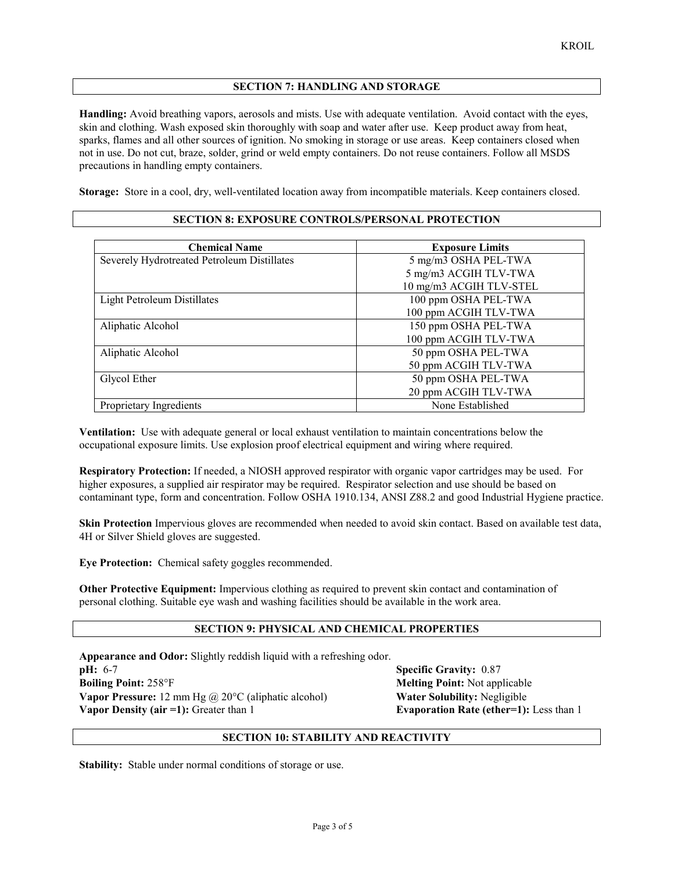## **SECTION 7: HANDLING AND STORAGE**

**Handling:** Avoid breathing vapors, aerosols and mists. Use with adequate ventilation. Avoid contact with the eyes, skin and clothing. Wash exposed skin thoroughly with soap and water after use. Keep product away from heat, sparks, flames and all other sources of ignition. No smoking in storage or use areas. Keep containers closed when not in use. Do not cut, braze, solder, grind or weld empty containers. Do not reuse containers. Follow all MSDS precautions in handling empty containers.

**Storage:** Store in a cool, dry, well-ventilated location away from incompatible materials. Keep containers closed.

| <b>Chemical Name</b>                        | <b>Exposure Limits</b>  |
|---------------------------------------------|-------------------------|
| Severely Hydrotreated Petroleum Distillates | 5 mg/m3 OSHA PEL-TWA    |
|                                             | 5 mg/m3 ACGIH TLV-TWA   |
|                                             | 10 mg/m3 ACGIH TLV-STEL |
| <b>Light Petroleum Distillates</b>          | 100 ppm OSHA PEL-TWA    |
|                                             | 100 ppm ACGIH TLV-TWA   |
| Aliphatic Alcohol                           | 150 ppm OSHA PEL-TWA    |
|                                             | 100 ppm ACGIH TLV-TWA   |
| Aliphatic Alcohol                           | 50 ppm OSHA PEL-TWA     |
|                                             | 50 ppm ACGIH TLV-TWA    |
| Glycol Ether                                | 50 ppm OSHA PEL-TWA     |
|                                             | 20 ppm ACGIH TLV-TWA    |
| Proprietary Ingredients                     | None Established        |

#### **SECTION 8: EXPOSURE CONTROLS/PERSONAL PROTECTION**

**Ventilation:** Use with adequate general or local exhaust ventilation to maintain concentrations below the occupational exposure limits. Use explosion proof electrical equipment and wiring where required.

**Respiratory Protection:** If needed, a NIOSH approved respirator with organic vapor cartridges may be used. For higher exposures, a supplied air respirator may be required. Respirator selection and use should be based on contaminant type, form and concentration. Follow OSHA 1910.134, ANSI Z88.2 and good Industrial Hygiene practice.

**Skin Protection** Impervious gloves are recommended when needed to avoid skin contact. Based on available test data, 4H or Silver Shield gloves are suggested.

**Eye Protection:** Chemical safety goggles recommended.

**Other Protective Equipment:** Impervious clothing as required to prevent skin contact and contamination of personal clothing. Suitable eye wash and washing facilities should be available in the work area.

# **SECTION 9: PHYSICAL AND CHEMICAL PROPERTIES**

**Appearance and Odor:** Slightly reddish liquid with a refreshing odor. **pH:** 6-7 **Specific Gravity:** 0.87 **Boiling Point:** 258°F **Melting Point:** Not applicable **Vapor Pressure:** 12 mm Hg @ 20°C (aliphatic alcohol) **Water Solubility:** Negligible **Vapor Density (air =1):** Greater than 1 **Evaporation Rate (ether=1):** Less than 1

## **SECTION 10: STABILITY AND REACTIVITY**

**Stability:** Stable under normal conditions of storage or use.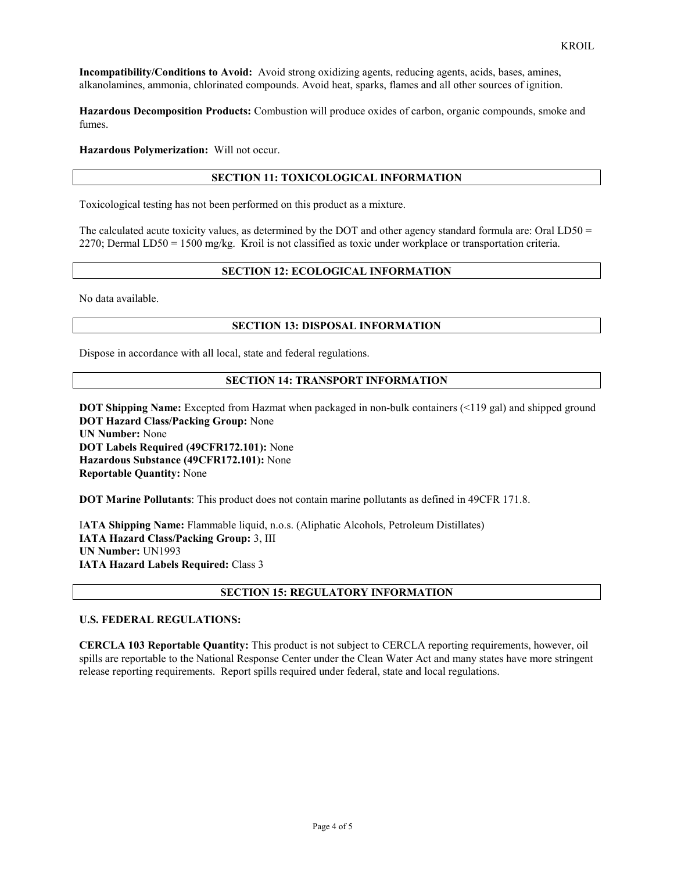**Incompatibility/Conditions to Avoid:** Avoid strong oxidizing agents, reducing agents, acids, bases, amines, alkanolamines, ammonia, chlorinated compounds. Avoid heat, sparks, flames and all other sources of ignition.

**Hazardous Decomposition Products:** Combustion will produce oxides of carbon, organic compounds, smoke and fumes.

**Hazardous Polymerization:** Will not occur.

## **SECTION 11: TOXICOLOGICAL INFORMATION**

Toxicological testing has not been performed on this product as a mixture.

The calculated acute toxicity values, as determined by the DOT and other agency standard formula are: Oral LD50 = 2270; Dermal LD50 = 1500 mg/kg. Kroil is not classified as toxic under workplace or transportation criteria.

## **SECTION 12: ECOLOGICAL INFORMATION**

No data available.

#### **SECTION 13: DISPOSAL INFORMATION**

Dispose in accordance with all local, state and federal regulations.

### **SECTION 14: TRANSPORT INFORMATION**

**DOT Shipping Name:** Excepted from Hazmat when packaged in non-bulk containers (<119 gal) and shipped ground **DOT Hazard Class/Packing Group:** None **UN Number:** None **DOT Labels Required (49CFR172.101):** None **Hazardous Substance (49CFR172.101):** None **Reportable Quantity:** None

**DOT Marine Pollutants**: This product does not contain marine pollutants as defined in 49CFR 171.8.

I**ATA Shipping Name:** Flammable liquid, n.o.s. (Aliphatic Alcohols, Petroleum Distillates) **IATA Hazard Class/Packing Group:** 3, III **UN Number:** UN1993 **IATA Hazard Labels Required:** Class 3

## **SECTION 15: REGULATORY INFORMATION**

## **U.S. FEDERAL REGULATIONS:**

**CERCLA 103 Reportable Quantity:** This product is not subject to CERCLA reporting requirements, however, oil spills are reportable to the National Response Center under the Clean Water Act and many states have more stringent release reporting requirements. Report spills required under federal, state and local regulations.